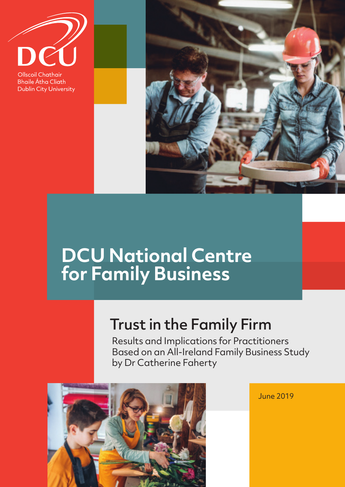**Ollscoil Chathair Bhaile Átha Cliath Dublin City University** 



# **DCU National Centre** for Family Business

## **Trust in the Family Firm**

Results and Implications for Practitioners Based on an All-Ireland Family Business Study by Dr Catherine Faherty



June 2019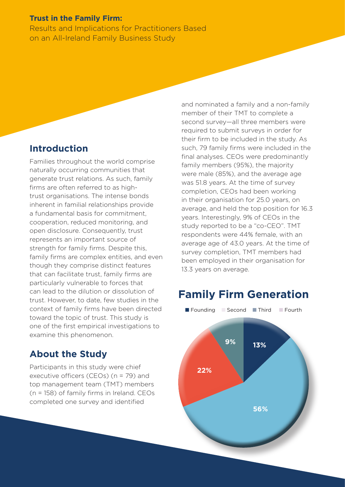#### **Trust in the Family Firm:**

**Results and Implications for Practitioners Based** on an All-Ireland Family Business Study

#### **Introduction**

Families throughout the world comprise naturally occurring communities that generate trust relations. As such, family firms are often referred to as hightrust organisations. The intense bonds inherent in familial relationships provide a fundamental basis for commitment. cooperation, reduced monitoring, and open disclosure. Consequently, trust represents an important source of strength for family firms. Despite this, family firms are complex entities, and even though they comprise distinct features that can facilitate trust, family firms are particularly vulnerable to forces that can lead to the dilution or dissolution of trust. However, to date, few studies in the context of family firms have been directed toward the topic of trust. This study is one of the first empirical investigations to examine this phenomenon.

#### **About the Study**

Participants in this study were chief executive officers (CEOs) ( $n = 79$ ) and top management team (TMT) members (n = 158) of family firms in Ireland. CEOs completed one survey and identified

and nominated a family and a non-family member of their TMT to complete a second survey-all three members were required to submit surveys in order for their firm to be included in the study. As such, 79 family firms were included in the final analyses. CEOs were predominantly family members (95%), the majority were male (85%), and the average age was 51.8 years. At the time of survey completion. CEOs had been working in their organisation for 25.0 years, on average, and held the top position for 16.3 vears. Interestingly, 9% of CEOs in the study reported to be a "co-CEO". TMT respondents were 44% female, with an average age of 43.0 years. At the time of survey completion. TMT members had been emploved in their organisation for 13.3 years on average.

## **Family Firm Generation**

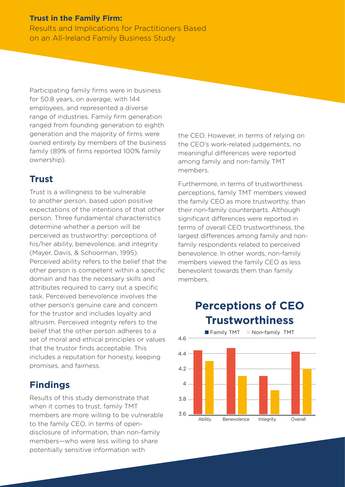#### **Trust in the Family Firm:**

Results and Implications for Practitioners Based on an All-Ireland Family Business Study

Participating family firms were in business for 50.8 years, on average, with 144 employees, and represented a diverse range of industries. Family firm generation ranged from founding generation to eighth generation and the majority of firms were owned entirely by members of the business family (89% of firms reported 100% family ownership).

#### **Trust**

Trust is a willingness to be vulnerable to another person, based upon positive expectations of the intentions of that other person. Three fundamental characteristics determine whether a person will be perceived as trustworthy: perceptions of his/her ability, benevolence, and integrity (Mayer, Davis, & Schoorman, 1995). Perceived ability refers to the belief that the other person is competent within a specific domain and has the necessary skills and attributes required to carry out a specific task. Perceived benevolence involves the other person's genuine care and concern for the trustor and includes loyalty and altruism. Perceived integrity refers to the belief that the other person adheres to a set of moral and ethical principles or values that the trustor finds acceptable. This includes a reputation for honesty, keeping promises, and fairness.

#### **Findings**

Results of this study demonstrate that when it comes to trust, family TMT members are more willing to be vulnerable to the family CEO, in terms of opendisclosure of information, than non-family members—who were less willing to share potentially sensitive information with

the CEO. However, in terms of relying on the CEO's work-related judgements, no meaningful diferences were reported among family and non-family TMT members.

Furthermore, in terms of trustworthiness perceptions, family TMT members viewed the family CEO as more trustworthy, than their non-family counterparts. Although significant diferences were reported in terms of overall CEO trustworthiness, the largest diferences among family and nonfamily respondents related to perceived benevolence. In other words, non-family members viewed the family CEO as less benevolent towards them than family members.

## **Perceptions of CEO Trustworthiness**